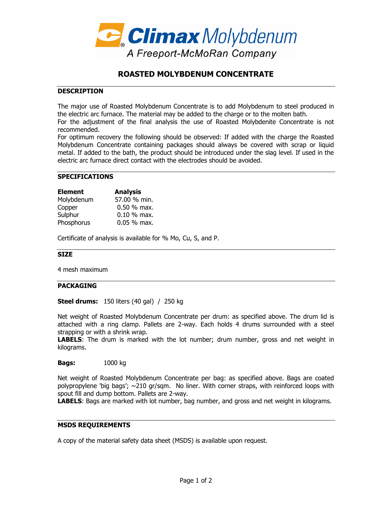

# **ROASTED MOLYBDENUM CONCENTRATE**

## **DESCRIPTION**

The major use of Roasted Molybdenum Concentrate is to add Molybdenum to steel produced in the electric arc furnace. The material may be added to the charge or to the molten bath.

For the adjustment of the final analysis the use of Roasted Molybdenite Concentrate is not recommended.

For optimum recovery the following should be observed: If added with the charge the Roasted Molybdenum Concentrate containing packages should always be covered with scrap or liquid metal. If added to the bath, the product should be introduced under the slag level. If used in the electric arc furnace direct contact with the electrodes should be avoided.

#### **SPECIFICATIONS**

| <b>Element</b> | <b>Analysis</b> |
|----------------|-----------------|
| Molybdenum     | 57.00 % min.    |
| Copper         | $0.50 \%$ max.  |
| Sulphur        | $0.10 \%$ max.  |
| Phosphorus     | $0.05 %$ max.   |

Certificate of analysis is available for % Mo, Cu, S, and P.

### **SIZE**

4 mesh maximum

### **PACKAGING**

**Steel drums:** 150 liters (40 gal) / 250 kg

Net weight of Roasted Molybdenum Concentrate per drum: as specified above. The drum lid is attached with a ring clamp. Pallets are 2-way. Each holds 4 drums surrounded with a steel strapping or with a shrink wrap.

**LABELS**: The drum is marked with the lot number; drum number, gross and net weight in kilograms.

**Bags:** 1000 kg

Net weight of Roasted Molybdenum Concentrate per bag: as specified above. Bags are coated polypropylene 'big bags'; ~210 gr/sqm. No liner. With corner straps, with reinforced loops with spout fill and dump bottom. Pallets are 2-way.

**LABELS**: Bags are marked with lot number, bag number, and gross and net weight in kilograms.

## **MSDS REQUIREMENTS**

A copy of the material safety data sheet (MSDS) is available upon request.